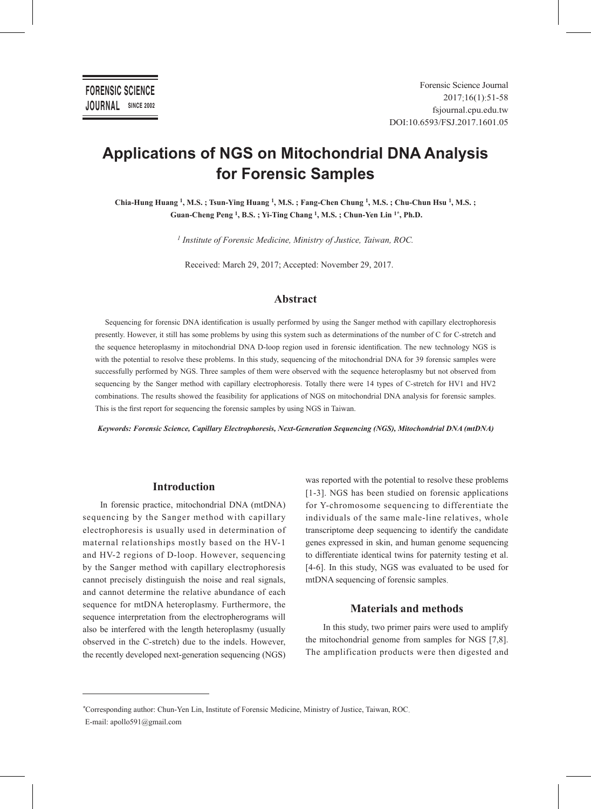# **Applications of NGS on Mitochondrial DNA Analysis for Forensic Samples**

**Chia-Hung Huang 1, M.S. ; Tsun-Ying Huang 1, M.S. ; Fang-Chen Chung 1, M.S. ; Chu-Chun Hsu 1, M.S. ; Guan-Cheng Peng 1, B.S. ; Yi-Ting Chang 1, M.S. ; Chun-Yen Lin 1\*, Ph.D.**

*1 Institute of Forensic Medicine, Ministry of Justice, Taiwan, ROC.*

Received: March 29, 2017; Accepted: November 29, 2017.

# **Abstract**

Sequencing for forensic DNA identification is usually performed by using the Sanger method with capillary electrophoresis presently. However, it still has some problems by using this system such as determinations of the number of C for C-stretch and the sequence heteroplasmy in mitochondrial DNA D-loop region used in forensic identification. The new technology NGS is with the potential to resolve these problems. In this study, sequencing of the mitochondrial DNA for 39 forensic samples were successfully performed by NGS. Three samples of them were observed with the sequence heteroplasmy but not observed from sequencing by the Sanger method with capillary electrophoresis. Totally there were 14 types of C-stretch for HV1 and HV2 combinations. The results showed the feasibility for applications of NGS on mitochondrial DNA analysis for forensic samples. This is the first report for sequencing the forensic samples by using NGS in Taiwan.

*Keywords: Forensic Science, Capillary Electrophoresis, Next-Generation Sequencing (NGS), Mitochondrial DNA (mtDNA)*

# **Introduction**

In forensic practice, mitochondrial DNA (mtDNA) sequencing by the Sanger method with capillary electrophoresis is usually used in determination of maternal relationships mostly based on the HV-1 and HV-2 regions of D-loop. However, sequencing by the Sanger method with capillary electrophoresis cannot precisely distinguish the noise and real signals, and cannot determine the relative abundance of each sequence for mtDNA heteroplasmy. Furthermore, the sequence interpretation from the electropherograms will also be interfered with the length heteroplasmy (usually observed in the C-stretch) due to the indels. However, the recently developed next-generation sequencing (NGS)

was reported with the potential to resolve these problems [1-3]. NGS has been studied on forensic applications for Y-chromosome sequencing to differentiate the individuals of the same male-line relatives, whole transcriptome deep sequencing to identify the candidate genes expressed in skin, and human genome sequencing to differentiate identical twins for paternity testing et al. [4-6]. In this study, NGS was evaluated to be used for mtDNA sequencing of forensic samples.

# **Materials and methods**

In this study, two primer pairs were used to amplify the mitochondrial genome from samples for NGS [7,8]. The amplification products were then digested and

*<sup>\*</sup>*Corresponding author: Chun-Yen Lin, Institute of Forensic Medicine, Ministry of Justice, Taiwan, ROC. E-mail: apollo591@gmail.com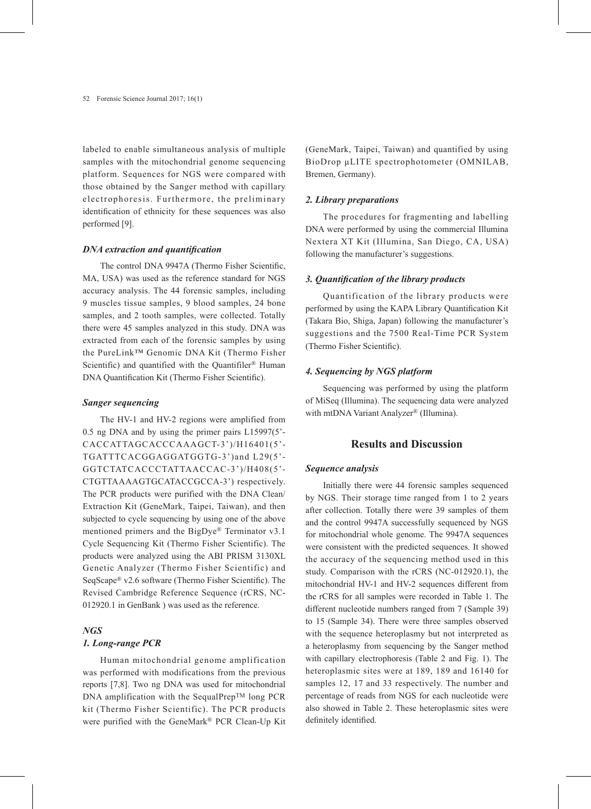labeled to enable simultaneous analysis of multiple samples with the mitochondrial genome sequencing platform. Sequences for NGS were compared with those obtained by the Sanger method with capillary electrophoresis. Furthermore, the preliminary identification of ethnicity for these sequences was also performed [9].

#### *DNA extraction and quantification*

The control DNA 9947A (Thermo Fisher Scientific, MA, USA) was used as the reference standard for NGS accuracy analysis. The 44 forensic samples, including 9 muscles tissue samples, 9 blood samples, 24 bone samples, and 2 tooth samples, were collected. Totally there were 45 samples analyzed in this study. DNA was extracted from each of the forensic samples by using the PureLink™ Genomic DNA Kit (Thermo Fisher Scientific) and quantified with the Quantifiler<sup>®</sup> Human DNA Quantification Kit (Thermo Fisher Scientific).

#### *Sanger sequencing*

The HV-1 and HV-2 regions were amplified from 0.5 ng DNA and by using the primer pairs L15997(5'- CACCATTAGCACCCAAAGCT-3')/H16401(5'- TGATTTCACGGAGGATGGTG-3')and L29(5'- GGTCTATCACCCTATTAACCAC-3')/H408(5'- CTGTTAAAAGTGCATACCGCCA-3') respectively. The PCR products were purified with the DNA Clean/ Extraction Kit (GeneMark, Taipei, Taiwan), and then subjected to cycle sequencing by using one of the above mentioned primers and the BigDye® Terminator v3.1 Cycle Sequencing Kit (Thermo Fisher Scientific). The products were analyzed using the ABI PRISM 3130XL Genetic Analyzer (Thermo Fisher Scientific) and SeqScape® v2.6 software (Thermo Fisher Scientific). The Revised Cambridge Reference Sequence (rCRS, NC-012920.1 in GenBank ) was used as the reference.

# *NGS*

## *1. Long-range PCR*

Human mitochondrial genome amplification was performed with modifications from the previous reports [7,8]. Two ng DNA was used for mitochondrial DNA amplification with the SequalPrep™ long PCR kit (Thermo Fisher Scientific). The PCR products were purified with the GeneMark® PCR Clean-Up Kit (GeneMark, Taipei, Taiwan) and quantified by using BioDrop μLITE spectrophotometer (OMNILAB, Bremen, Germany).

#### *2. Library preparations*

The procedures for fragmenting and labelling DNA were performed by using the commercial Illumina Nextera XT Kit (Illumina, San Diego, CA, USA) following the manufacturer's suggestions.

#### *3. Quantification of the library products*

Quantification of the library products were performed by using the KAPA Library Quantification Kit (Takara Bio, Shiga, Japan) following the manufacturer's suggestions and the 7500 Real-Time PCR System (Thermo Fisher Scientific).

#### *4. Sequencing by NGS platform*

Sequencing was performed by using the platform of MiSeq (Illumina). The sequencing data were analyzed with mtDNA Variant Analyzer® (Illumina).

## **Results and Discussion**

#### *Sequence analysis*

Initially there were 44 forensic samples sequenced by NGS. Their storage time ranged from 1 to 2 years after collection. Totally there were 39 samples of them and the control 9947A successfully sequenced by NGS for mitochondrial whole genome. The 9947A sequences were consistent with the predicted sequences. It showed the accuracy of the sequencing method used in this study. Comparison with the rCRS (NC-012920.1), the mitochondrial HV-1 and HV-2 sequences different from the rCRS for all samples were recorded in Table 1. The different nucleotide numbers ranged from 7 (Sample 39) to 15 (Sample 34). There were three samples observed with the sequence heteroplasmy but not interpreted as a heteroplasmy from sequencing by the Sanger method with capillary electrophoresis (Table 2 and Fig. 1). The heteroplasmic sites were at 189, 189 and 16140 for samples 12, 17 and 33 respectively. The number and percentage of reads from NGS for each nucleotide were also showed in Table 2. These heteroplasmic sites were definitely identified.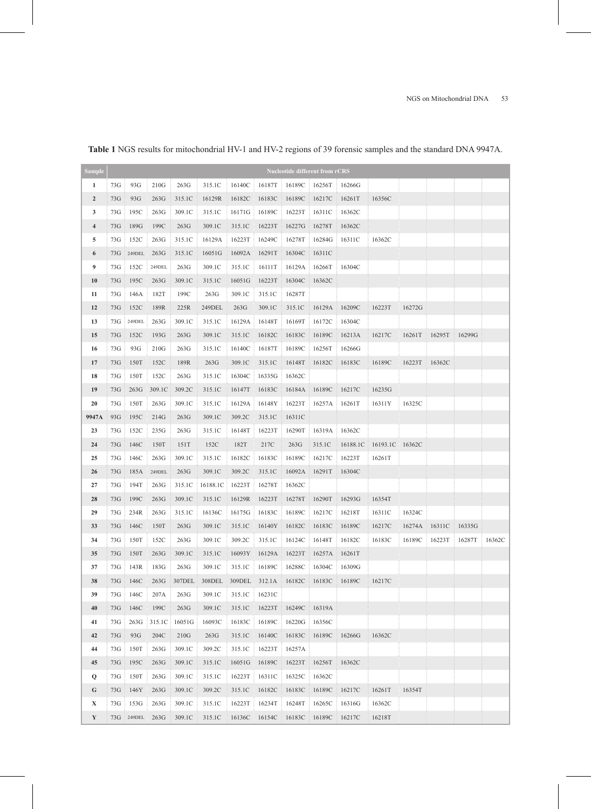| <b>Sample</b>           |     |        |        |        |          |        |        | <b>Nucleotide different from rCRS</b> |        |          |                 |        |        |        |        |
|-------------------------|-----|--------|--------|--------|----------|--------|--------|---------------------------------------|--------|----------|-----------------|--------|--------|--------|--------|
| 1                       | 73G | 93G    | 210G   | 263G   | 315.1C   | 16140C | 16187T | 16189C                                | 16256T | 16266G   |                 |        |        |        |        |
| $\boldsymbol{2}$        | 73G | 93G    | 263G   | 315.1C | 16129R   | 16182C | 16183C | 16189C                                | 16217C | 16261T   | 16356C          |        |        |        |        |
| 3                       | 73G | 195C   | 263G   | 309.1C | 315.1C   | 16171G | 16189C | 16223T                                | 16311C | 16362C   |                 |        |        |        |        |
| $\overline{\mathbf{4}}$ | 73G | 189G   | 199C   | 263G   | 309.1C   | 315.1C | 16223T | 16227G                                | 16278T | 16362C   |                 |        |        |        |        |
| 5                       | 73G | 152C   | 263G   | 315.1C | 16129A   | 16223T | 16249C | 16278T                                | 16284G | 16311C   | 16362C          |        |        |        |        |
| 6                       | 73G | 249DEL | 263G   | 315.1C | 16051G   | 16092A | 16291T | 16304C                                | 16311C |          |                 |        |        |        |        |
| 9                       | 73G | 152C   | 249DEL | 263G   | 309.1C   | 315.1C | 16111T | 16129A                                | 16266T | 16304C   |                 |        |        |        |        |
| 10                      | 73G | 195C   | 263G   | 309.1C | 315.1C   | 16051G | 16223T | 16304C                                | 16362C |          |                 |        |        |        |        |
| 11                      | 73G | 146A   | 182T   | 199C   | 263G     | 309.1C | 315.1C | 16287T                                |        |          |                 |        |        |        |        |
| 12                      | 73G | 152C   | 189R   | 225R   | 249DEL   | 263G   | 309.1C | 315.1C                                | 16129A | 16209C   | 16223T          | 16272G |        |        |        |
| 13                      | 73G | 249DEL | 263G   | 309.1C | 315.1C   | 16129A | 16148T | 16169T                                | 16172C | 16304C   |                 |        |        |        |        |
| 15                      | 73G | 152C   | 193G   | 263G   | 309.1C   | 315.1C | 16182C | 16183C                                | 16189C | 16213A   | 16217C          | 16261T | 16295T | 16299G |        |
| 16                      | 73G | 93G    | 210G   | 263G   | 315.1C   | 16140C | 16187T | 16189C                                | 16256T | 16266G   |                 |        |        |        |        |
| 17                      | 73G | 150T   | 152C   | 189R   | 263G     | 309.1C | 315.1C | 16148T                                | 16182C | 16183C   | 16189C          | 16223T | 16362C |        |        |
| 18                      | 73G | 150T   | 152C   | 263G   | 315.1C   | 16304C | 16335G | 16362C                                |        |          |                 |        |        |        |        |
| 19                      | 73G | 263G   | 309.1C | 309.2C | 315.1C   | 16147T | 16183C | 16184A                                | 16189C | 16217C   | 16235G          |        |        |        |        |
| 20                      | 73G | 150T   | 263G   | 309.1C | 315.1C   | 16129A | 16148Y | 16223T                                | 16257A | 16261T   | 16311Y          | 16325C |        |        |        |
| 9947A                   | 93G | 195C   | 214G   | 263G   | 309.1C   | 309.2C | 315.1C | 16311C                                |        |          |                 |        |        |        |        |
| 23                      | 73G | 152C   | 235G   | 263G   | 315.1C   | 16148T | 16223T | 16290T                                | 16319A | 16362C   |                 |        |        |        |        |
| 24                      | 73G | 146C   | 150T   | 151T   | 152C     | 182T   | 217C   | 263G                                  | 315.1C | 16188.1C | 16193.1C 16362C |        |        |        |        |
| 25                      | 73G | 146C   | 263G   | 309.1C | 315.1C   | 16182C | 16183C | 16189C                                | 16217C | 16223T   | 16261T          |        |        |        |        |
| 26                      | 73G | 185A   | 249DEL | 263G   | 309.1C   | 309.2C | 315.1C | 16092A                                | 16291T | 16304C   |                 |        |        |        |        |
| 27                      | 73G | 194T   | 263G   | 315.1C | 16188.1C | 16223T | 16278T | 16362C                                |        |          |                 |        |        |        |        |
| 28                      | 73G | 199C   | 263G   | 309.1C | 315.1C   | 16129R | 16223T | 16278T                                | 16290T | 16293G   | 16354T          |        |        |        |        |
| 29                      | 73G | 234R   | 263G   | 315.1C | 16136C   | 16175G | 16183C | 16189C                                | 16217C | 16218T   | 16311C          | 16324C |        |        |        |
| 33                      | 73G | 146C   | 150T   | 263G   | 309.1C   | 315.1C | 16140Y | 16182C                                | 16183C | 16189C   | 16217C          | 16274A | 16311C | 16335G |        |
| 34                      | 73G | 150T   | 152C   | 263G   | 309.1C   | 309.2C | 315.1C | 16124C                                | 16148T | 16182C   | 16183C          | 16189C | 16223T | 16287T | 16362C |
| 35                      | 73G | 150T   | 263G   | 309.1C | 315.1C   | 16093Y | 16129A | 16223T                                | 16257A | 16261T   |                 |        |        |        |        |
| 37                      | 73G | 143R   | 183G   | 263G   | 309.1C   | 315.1C | 16189C | 16288C                                | 16304C | 16309G   |                 |        |        |        |        |
| 38                      | 73G | 146C   | 263G   | 307DEL | 308DEL   | 309DEL | 312.1A | 16182C                                | 16183C | 16189C   | 16217C          |        |        |        |        |
| 39                      | 73G | 146C   | 207A   | 263G   | 309.1C   | 315.1C | 16231C |                                       |        |          |                 |        |        |        |        |
| 40                      | 73G | 146C   | 199C   | 263G   | 309.1C   | 315.1C | 16223T | 16249C                                | 16319A |          |                 |        |        |        |        |
| 41                      | 73G | 263G   | 315.1C | 16051G | 16093C   | 16183C | 16189C | 16220G                                | 16356C |          |                 |        |        |        |        |
| 42                      | 73G | 93G    | 204C   | 210G   | 263G     | 315.1C | 16140C | 16183C                                | 16189C | 16266G   | 16362C          |        |        |        |        |
| 44                      | 73G | 150T   | 263G   | 309.1C | 309.2C   | 315.1C | 16223T | 16257A                                |        |          |                 |        |        |        |        |
| 45                      | 73G | 195C   | 263G   | 309.1C | 315.1C   | 16051G | 16189C | 16223T                                | 16256T | 16362C   |                 |        |        |        |        |
| Q                       | 73G | 150T   | 263G   | 309.1C | 315.1C   | 16223T | 16311C | 16325C                                | 16362C |          |                 |        |        |        |        |
| G                       | 73G | 146Y   | 263G   | 309.1C | 309.2C   | 315.1C | 16182C | 16183C                                | 16189C | 16217C   | 16261T          | 16354T |        |        |        |
| X                       | 73G | 153G   | 263G   | 309.1C | 315.1C   | 16223T | 16234T | 16248T                                | 16265C | 16316G   | 16362C          |        |        |        |        |
| Y                       | 73G | 249DEL | 263G   | 309.1C | 315.1C   | 16136C | 16154C | 16183C                                | 16189C | 16217C   | 16218T          |        |        |        |        |

# **Table 1** NGS results for mitochondrial HV-1 and HV-2 regions of 39 forensic samples and the standard DNA 9947A.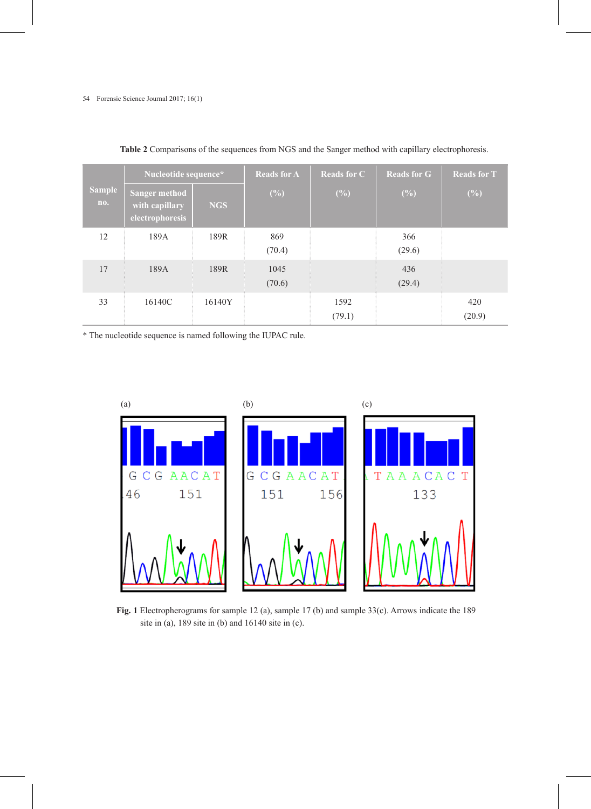|                      | Nucleotide sequence*                                      |            | <b>Reads for A</b> | <b>Reads for C</b> | <b>Reads for G</b> | <b>Reads for T</b><br>$(\%)$ |  |
|----------------------|-----------------------------------------------------------|------------|--------------------|--------------------|--------------------|------------------------------|--|
| <b>Sample</b><br>no. | <b>Sanger method</b><br>with capillary<br>electrophoresis | <b>NGS</b> | $(\%)$             | $(\%)$             | (%)                |                              |  |
| 12                   | 189A                                                      | 189R       | 869<br>(70.4)      |                    | 366<br>(29.6)      |                              |  |
| 17                   | 189A                                                      | 189R       | 1045<br>(70.6)     |                    | 436<br>(29.4)      |                              |  |
| 33                   | 16140C                                                    | 16140Y     |                    | 1592<br>(79.1)     |                    | 420<br>(20.9)                |  |

**Table 2** Comparisons of the sequences from NGS and the Sanger method with capillary electrophoresis.

\* The nucleotide sequence is named following the IUPAC rule.



**Fig. 1** Electropherograms for sample 12 (a), sample 17 (b) and sample 33(c). Arrows indicate the 189 site in (a), 189 site in (b) and 16140 site in (c).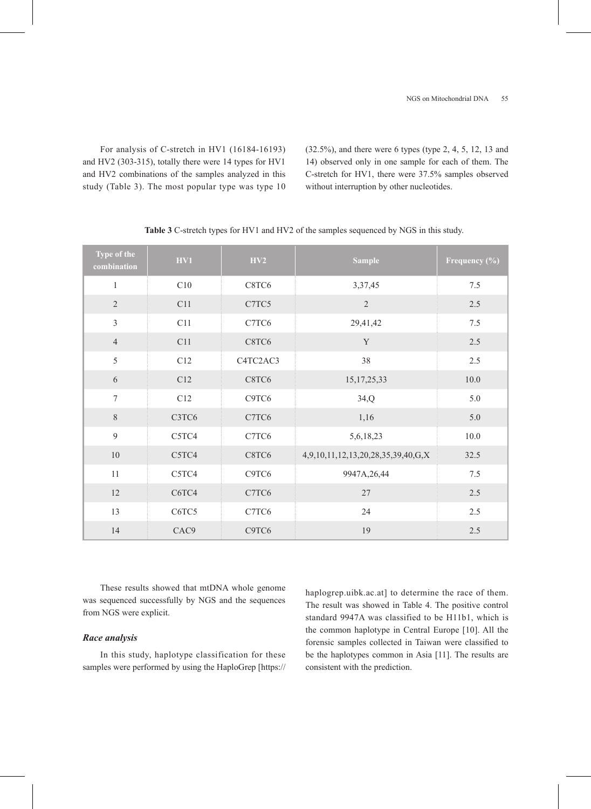For analysis of C-stretch in HV1 (16184-16193) and HV2 (303-315), totally there were 14 types for HV1 and HV2 combinations of the samples analyzed in this study (Table 3). The most popular type was type 10 (32.5%), and there were 6 types (type 2, 4, 5, 12, 13 and 14) observed only in one sample for each of them. The C-stretch for HV1, there were 37.5% samples observed without interruption by other nucleotides.

| Type of the<br>combination | HV1                            | H <sub>V2</sub> | <b>Sample</b>                      | Frequency (%) |
|----------------------------|--------------------------------|-----------------|------------------------------------|---------------|
| $\mathbf{1}$               | C10                            | C8TC6           | 3,37,45                            | 7.5           |
| $\overline{2}$             | C11                            | C7TC5           | $\overline{2}$                     | 2.5           |
| $\overline{3}$             | C11                            | C7TC6           | 29,41,42                           | 7.5           |
| $\overline{4}$             | C11                            | C8TC6           | $\mathbf Y$                        | 2.5           |
| 5                          | C12                            | C4TC2AC3        | 38                                 | 2.5           |
| 6                          | C12                            | C8TC6           | 15, 17, 25, 33                     | 10.0          |
| $\overline{7}$             | C12                            | C9TC6           | 34,Q                               | 5.0           |
| $8\,$                      | C3TC6                          | C7TC6           | 1,16                               | 5.0           |
| 9                          | C <sub>5</sub> TC <sub>4</sub> | C7TC6           | 5,6,18,23                          | 10.0          |
| $10\,$                     | C5TC4                          | C8TC6           | 4,9,10,11,12,13,20,28,35,39,40,G,X | 32.5          |
| $11\,$                     | C5TC4                          | C9TC6           | 9947A, 26, 44                      | 7.5           |
| 12                         | C6TC4                          | C7TC6           | $27\,$                             | 2.5           |
| 13                         | C6TC5                          | C7TC6           | 24                                 | 2.5           |
| 14                         | CAC <sub>9</sub>               | C9TC6           | 19                                 | 2.5           |

**Table 3** C-stretch types for HV1 and HV2 of the samples sequenced by NGS in this study.

These results showed that mtDNA whole genome was sequenced successfully by NGS and the sequences from NGS were explicit.

# *Race analysis*

In this study, haplotype classification for these samples were performed by using the HaploGrep [https:// haplogrep.uibk.ac.at] to determine the race of them. The result was showed in Table 4. The positive control standard 9947A was classified to be H11b1, which is the common haplotype in Central Europe [10]. All the forensic samples collected in Taiwan were classified to be the haplotypes common in Asia [11]. The results are consistent with the prediction.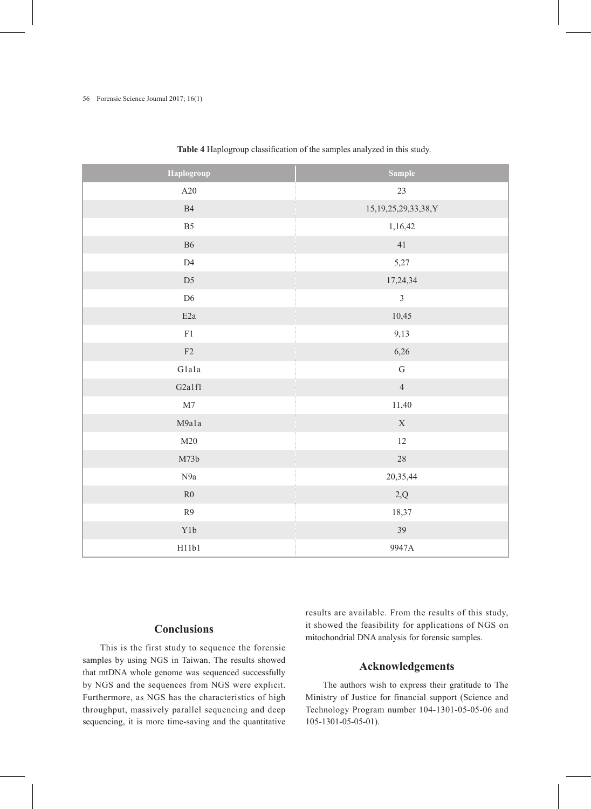# 56 Forensic Science Journal 2017; 16(1)

| Haplogroup          | <b>Sample</b>             |
|---------------------|---------------------------|
| $\rm A20$           | 23                        |
| B4                  | 15, 19, 25, 29, 33, 38, Y |
| $\mathbf{B}5$       | 1,16,42                   |
| <b>B6</b>           | 41                        |
| $\mathbf{D}4$       | 5,27                      |
| D <sub>5</sub>      | 17,24,34                  |
| $\mathbf{D6}$       | $\overline{3}$            |
| $\rm E2a$           | 10,45                     |
| ${\rm F}1$          | 9,13                      |
| F2                  | 6,26                      |
| G1a1a               | ${\bf G}$                 |
| G <sub>2</sub> a1f1 | $\overline{4}$            |
| M7                  | 11,40                     |
| M9a1a               | $\mathbf X$               |
| M20                 | $12\,$                    |
| M73b                | $28\,$                    |
| N9a                 | 20,35,44                  |
| R <sub>0</sub>      | $2,\!Q$                   |
| $\mathbb{R}^9$      | 18,37                     |
| Y1b                 | 39                        |
| H11b1               | 9947A                     |

**Table 4** Haplogroup classification of the samples analyzed in this study.

# **Conclusions**

This is the first study to sequence the forensic samples by using NGS in Taiwan. The results showed that mtDNA whole genome was sequenced successfully by NGS and the sequences from NGS were explicit. Furthermore, as NGS has the characteristics of high throughput, massively parallel sequencing and deep sequencing, it is more time-saving and the quantitative results are available. From the results of this study, it showed the feasibility for applications of NGS on mitochondrial DNA analysis for forensic samples.

# **Acknowledgements**

The authors wish to express their gratitude to The Ministry of Justice for financial support (Science and Technology Program number 104-1301-05-05-06 and 105-1301-05-05-01).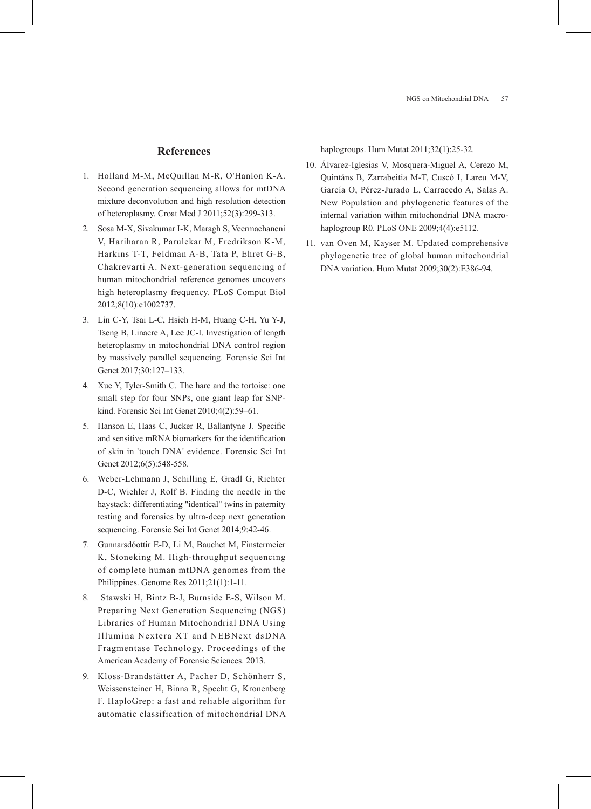# **References**

- 1. Holland M-M, McQuillan M-R, O'Hanlon K-A. Second generation sequencing allows for mtDNA mixture deconvolution and high resolution detection of heteroplasmy. Croat Med J 2011;52(3):299-313.
- 2. Sosa M-X, Sivakumar I-K, Maragh S, Veermachaneni V, Hariharan R, Parulekar M, Fredrikson K-M, Harkins T-T, Feldman A-B, Tata P, Ehret G-B, Chakrevarti A. Next-generation sequencing of human mitochondrial reference genomes uncovers high heteroplasmy frequency. PLoS Comput Biol 2012;8(10):e1002737.
- 3. Lin C-Y, Tsai L-C, Hsieh H-M, Huang C-H, Yu Y-J, Tseng B, Linacre A, Lee JC-I. Investigation of length heteroplasmy in mitochondrial DNA control region by massively parallel sequencing. Forensic Sci Int Genet 2017;30:127–133.
- 4. Xue Y, Tyler-Smith C. The hare and the tortoise: one small step for four SNPs, one giant leap for SNPkind. Forensic Sci Int Genet 2010;4(2):59–61.
- 5. Hanson E, Haas C, Jucker R, Ballantyne J. Specific and sensitive mRNA biomarkers for the identification of skin in 'touch DNA' evidence. Forensic Sci Int Genet 2012;6(5):548-558.
- 6. Weber-Lehmann J, Schilling E, Gradl G, Richter D-C, Wiehler J, Rolf B. Finding the needle in the haystack: differentiating "identical" twins in paternity testing and forensics by ultra-deep next generation sequencing. Forensic Sci Int Genet 2014;9:42-46.
- 7. Gunnarsdóottir E-D, Li M, Bauchet M, Finstermeier K, Stoneking M. High-throughput sequencing of complete human mtDNA genomes from the Philippines. Genome Res 2011;21(1):1-11.
- 8. Stawski H, Bintz B-J, Burnside E-S, Wilson M. Preparing Next Generation Sequencing (NGS) Libraries of Human Mitochondrial DNA Using Illumina Nextera XT and NEBNext dsDNA Fragmentase Technology. Proceedings of the American Academy of Forensic Sciences. 2013.
- 9. Kloss-Brandstätter A, Pacher D, Schönherr S, Weissensteiner H, Binna R, Specht G, Kronenberg F. HaploGrep: a fast and reliable algorithm for automatic classification of mitochondrial DNA

haplogroups. Hum Mutat 2011;32(1):25-32.

- 10. Álvarez-Iglesias V, Mosquera-Miguel A, Cerezo M, Quintáns B, Zarrabeitia M-T, Cuscó I, Lareu M-V, García O, Pérez-Jurado L, Carracedo A, Salas A. New Population and phylogenetic features of the internal variation within mitochondrial DNA macrohaplogroup R0. PLoS ONE 2009;4(4):e5112.
- 11. van Oven M, Kayser M. Updated comprehensive phylogenetic tree of global human mitochondrial DNA variation. Hum Mutat 2009;30(2):E386-94.